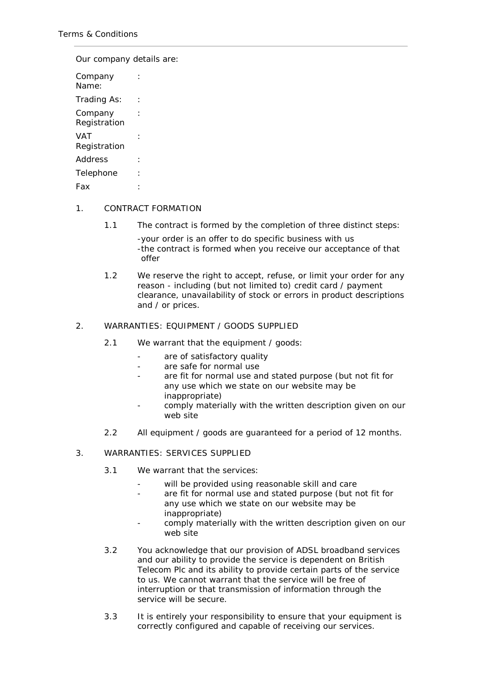Our company details are:

| Company<br>Name:        |  |
|-------------------------|--|
| Trading As:             |  |
| Company<br>Registration |  |
| VAT<br>Registration     |  |
| Address                 |  |
| Telephone               |  |
| Fax                     |  |

# 1. CONTRACT FORMATION

1.1 The contract is formed by the completion of three distinct steps:

-your order is an offer to do specific business with us -the contract is formed when you receive our acceptance of that offer

1.2 We reserve the right to accept, refuse, or limit your order for any reason - including (but not limited to) credit card / payment clearance, unavailability of stock or errors in product descriptions and / or prices.

## 2. WARRANTIES: EQUIPMENT / GOODS SUPPLIED

- 2.1 We warrant that the equipment / goods:
	- are of satisfactory quality
	- are safe for normal use
	- are fit for normal use and stated purpose (but not fit for any use which we state on our website may be inappropriate)
	- comply materially with the written description given on our web site
- 2.2 All equipment / goods are guaranteed for a period of 12 months.

## 3. WARRANTIES: SERVICES SUPPLIED

- 3.1 We warrant that the services:
	- will be provided using reasonable skill and care
	- are fit for normal use and stated purpose (but not fit for any use which we state on our website may be inappropriate)
	- comply materially with the written description given on our web site
- 3.2 You acknowledge that our provision of ADSL broadband services and our ability to provide the service is dependent on British Telecom Plc and its ability to provide certain parts of the service to us. We cannot warrant that the service will be free of interruption or that transmission of information through the service will be secure.
- 3.3 It is entirely your responsibility to ensure that your equipment is correctly configured and capable of receiving our services.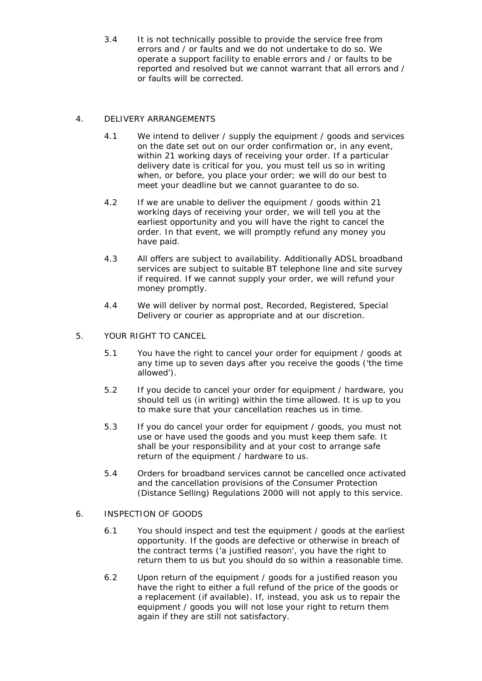3.4 It is not technically possible to provide the service free from errors and / or faults and we do not undertake to do so. We operate a [support](http://www.getonlinebroadband.com/support/index.html) facility to enable errors and / or faults to be reported and resolved but we cannot warrant that all errors and / or faults will be corrected.

# 4. DELIVERY ARRANGEMENTS

- 4.1 We intend to deliver / supply the equipment / goods and services on the date set out on our order confirmation or, in any event, within 21 working days of receiving your order. If a particular delivery date is critical for you, you must tell us so in writing when, or before, you place your order; we will do our best to meet your deadline but we cannot guarantee to do so.
- 4.2 If we are unable to deliver the equipment / goods within 21 working days of receiving your order, we will tell you at the earliest opportunity and you will have the right to cancel the order. In that event, we will promptly refund any money you have paid.
- 4.3 All offers are subject to availability. Additionally ADSL broadband services are subject to suitable BT telephone line and site survey if required. If we cannot supply your order, we will refund your money promptly.
- 4.4 We will deliver by normal post, Recorded, Registered, Special Delivery or courier as appropriate and at our discretion.
- 5. YOUR RIGHT TO CANCEL
	- 5.1 You have the right to cancel your order for equipment / goods at any time up to seven days after you receive the goods ('the time allowed').
	- 5.2 If you decide to cancel your order for equipment / hardware, you should tell us (in writing) within the time allowed. It is up to you to make sure that your cancellation reaches us in time.
	- 5.3 If you do cancel your order for equipment / goods, you must not use or have used the goods and you must keep them safe. It shall be your responsibility and at your cost to arrange safe return of the equipment / hardware to us.
	- 5.4 Orders for broadband services cannot be cancelled once activated and the cancellation provisions of the Consumer Protection (Distance Selling) Regulations 2000 will not apply to this service.
- 6. INSPECTION OF GOODS
	- 6.1 You should inspect and test the equipment / goods at the earliest opportunity. If the goods are defective or otherwise in breach of the contract terms ('a justified reason', you have the right to return them to us but you should do so within a reasonable time.
	- 6.2 Upon return of the equipment / goods for a justified reason you have the right to either a full refund of the price of the goods or a replacement (if available). If, instead, you ask us to repair the equipment / goods you will not lose your right to return them again if they are still not satisfactory.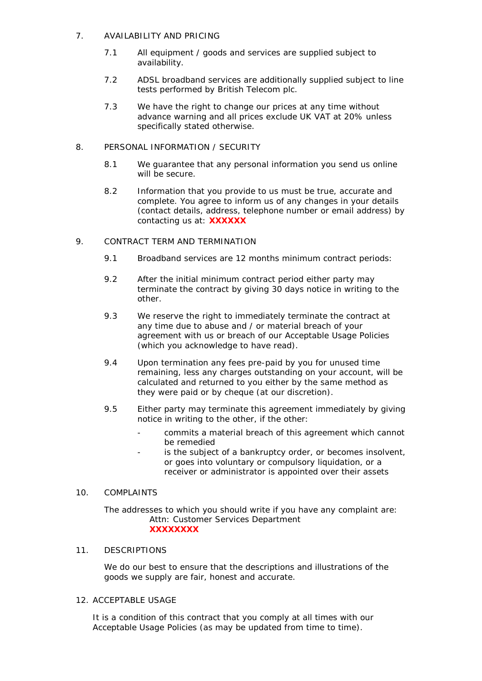# 7. AVAILABILITY AND PRICING

- 7.1 All equipment / goods and services are supplied subject to availability.
- 7.2 ADSL broadband services are additionally supplied subject to line tests performed by British Telecom plc.
- 7.3 We have the right to change our prices at any time without advance warning and all prices exclude UK VAT at 20% unless specifically stated otherwise.

# 8. PERSONAL INFORMATION / SECURITY

- 8.1 We guarantee that any personal information you send us online will be secure.
- 8.2 Information that you provide to us must be true, accurate and complete. You agree to inform us of any changes in your details (contact details, address, telephone number or email address) by contacting us at: **XXXXXX**

## 9. CONTRACT TERM AND TERMINATION

- 9.1 Broadband services are 12 months minimum contract periods:
- 9.2 After the initial minimum contract period either party may terminate the contract by giving 30 days notice in writing to the other.
- 9.3 We reserve the right to immediately terminate the contract at any time due to abuse and / or material breach of your agreement with us or breach of our [Acceptable Usage Policies](http://www.getonlinebroadband.com/usage-policy.html) (which you acknowledge to have read).
- 9.4 Upon termination any fees pre-paid by you for unused time remaining, less any charges outstanding on your account, will be calculated and returned to you either by the same method as they were paid or by cheque (at our discretion).
- 9.5 Either party may terminate this agreement immediately by giving notice in writing to the other, if the other:
	- commits a material breach of this agreement which cannot be remedied
	- is the subject of a bankruptcy order, or becomes insolvent, or goes into voluntary or compulsory liquidation, or a receiver or administrator is appointed over their assets

## 10. COMPLAINTS

The addresses to which you should write if you have any complaint are: Attn: Customer Services Department **XXXXXXXX**

## 11. DESCRIPTIONS

We do our best to ensure that the descriptions and illustrations of the goods we supply are fair, honest and accurate.

# 12. ACCEPTABLE USAGE

It is a condition of this contract that you comply at all times with our [Acceptable Usage Policies](http://www.getonlinebroadband.com/usage-policy.html) (as may be updated from time to time).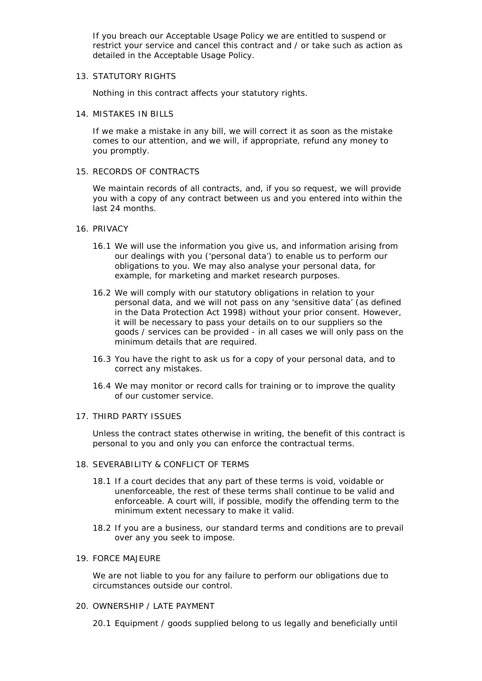If you breach our [Acceptable Usage Policy](http://www.getonlinebroadband.com/usage-policy.html) we are entitled to suspend or restrict your service and cancel this contract and / or take such as action as detailed in the [Acceptable Usage Policy.](http://www.getonlinebroadband.com/usage-policy.html)

13. STATUTORY RIGHTS

Nothing in this contract affects your statutory rights.

14 **MISTAKES IN BILLS** 

If we make a mistake in any bill, we will correct it as soon as the mistake comes to our attention, and we will, if appropriate, refund any money to you promptly.

15. RECORDS OF CONTRACTS

We maintain records of all contracts, and, if you so request, we will provide you with a copy of any contract between us and you entered into within the last 24 months.

- 16. PRIVACY
	- 16.1 We will use the information you give us, and information arising from our dealings with you ('personal data') to enable us to perform our obligations to you. We may also analyse your personal data, for example, for marketing and market research purposes.
	- 16.2 We will comply with our statutory obligations in relation to your personal data, and we will not pass on any 'sensitive data' (as defined in the Data Protection Act 1998) without your prior consent. However, it will be necessary to pass your details on to our suppliers so the goods / services can be provided - in all cases we will only pass on the minimum details that are required.
	- 16.3 You have the right to ask us for a copy of your personal data, and to correct any mistakes.
	- 16.4 We may monitor or record calls for training or to improve the quality of our customer service.

## 17. THIRD PARTY ISSUES

Unless the contract states otherwise in writing, the benefit of this contract is personal to you and only you can enforce the contractual terms.

#### 18. SEVERABILITY & CONFLICT OF TERMS

- 18.1 If a court decides that any part of these terms is void, voidable or unenforceable, the rest of these terms shall continue to be valid and enforceable. A court will, if possible, modify the offending term to the minimum extent necessary to make it valid.
- 18.2 If you are a business, our standard terms and conditions are to prevail over any you seek to impose.

#### 19. FORCE MAJEURE

We are not liable to you for any failure to perform our obligations due to circumstances outside our control.

#### 20. OWNERSHIP / LATE PAYMENT

20.1 Equipment / goods supplied belong to us legally and beneficially until